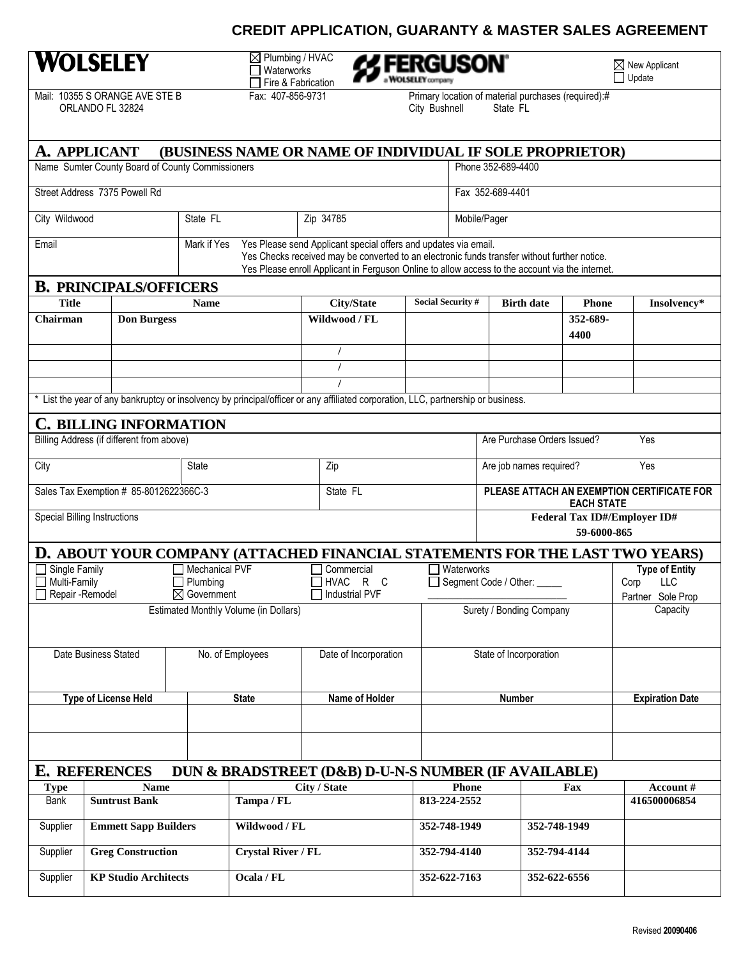## **CREDIT APPLICATION, GUARANTY & MASTER SALES AGREEMENT**

## **WOLSELEY**

Plumbing / HVAC Waterworks Fire & Fabrication



 $\underline{\boxtimes}$  New Applicant Update

Mail: 10355 S ORANGE AVE STE B ORLANDO FL 32824



| <b>A. APPLICANT</b><br><b>(BUSINESS NAME OR NAME OF INDIVIDUAL IF SOLE PROPRIETOR)</b> |                                           |                                    |                           |                                                                                                                                                                                                                                                                    |                                                                                                                                   |                              |                        |                                                                 |                   |                  |                                  |
|----------------------------------------------------------------------------------------|-------------------------------------------|------------------------------------|---------------------------|--------------------------------------------------------------------------------------------------------------------------------------------------------------------------------------------------------------------------------------------------------------------|-----------------------------------------------------------------------------------------------------------------------------------|------------------------------|------------------------|-----------------------------------------------------------------|-------------------|------------------|----------------------------------|
| Name Sumter County Board of County Commissioners                                       |                                           |                                    |                           |                                                                                                                                                                                                                                                                    |                                                                                                                                   | Phone 352-689-4400           |                        |                                                                 |                   |                  |                                  |
| Street Address 7375 Powell Rd                                                          |                                           |                                    |                           |                                                                                                                                                                                                                                                                    |                                                                                                                                   | Fax 352-689-4401             |                        |                                                                 |                   |                  |                                  |
| City Wildwood                                                                          |                                           | State FL                           | Zip 34785                 |                                                                                                                                                                                                                                                                    |                                                                                                                                   |                              | Mobile/Pager           |                                                                 |                   |                  |                                  |
| Mark if Yes<br>Email                                                                   |                                           |                                    |                           | Yes Please send Applicant special offers and updates via email.<br>Yes Checks received may be converted to an electronic funds transfer without further notice.<br>Yes Please enroll Applicant in Ferguson Online to allow access to the account via the internet. |                                                                                                                                   |                              |                        |                                                                 |                   |                  |                                  |
|                                                                                        | <b>B. PRINCIPALS/OFFICERS</b>             |                                    |                           |                                                                                                                                                                                                                                                                    |                                                                                                                                   |                              |                        |                                                                 |                   |                  |                                  |
| <b>Title</b>                                                                           |                                           | <b>Name</b>                        |                           |                                                                                                                                                                                                                                                                    | <b>City/State</b>                                                                                                                 | Social Security #            |                        |                                                                 | <b>Birth date</b> | <b>Phone</b>     | Insolvency*                      |
| Chairman                                                                               | <b>Don Burgess</b>                        |                                    |                           |                                                                                                                                                                                                                                                                    | Wildwood / FL                                                                                                                     |                              |                        |                                                                 |                   | 352-689-<br>4400 |                                  |
|                                                                                        |                                           |                                    |                           |                                                                                                                                                                                                                                                                    |                                                                                                                                   |                              |                        |                                                                 |                   |                  |                                  |
|                                                                                        |                                           |                                    |                           |                                                                                                                                                                                                                                                                    |                                                                                                                                   |                              |                        |                                                                 |                   |                  |                                  |
|                                                                                        |                                           |                                    |                           |                                                                                                                                                                                                                                                                    | * List the year of any bankruptcy or insolvency by principal/officer or any affiliated corporation, LLC, partnership or business. |                              |                        |                                                                 |                   |                  |                                  |
|                                                                                        |                                           |                                    |                           |                                                                                                                                                                                                                                                                    |                                                                                                                                   |                              |                        |                                                                 |                   |                  |                                  |
|                                                                                        | <b>C. BILLING INFORMATION</b>             |                                    |                           |                                                                                                                                                                                                                                                                    |                                                                                                                                   |                              |                        |                                                                 |                   |                  |                                  |
|                                                                                        | Billing Address (if different from above) |                                    |                           |                                                                                                                                                                                                                                                                    |                                                                                                                                   |                              |                        | Are Purchase Orders Issued?<br>Yes                              |                   |                  |                                  |
| City                                                                                   |                                           | <b>State</b>                       |                           |                                                                                                                                                                                                                                                                    | Zip                                                                                                                               |                              |                        | Yes<br>Are job names required?                                  |                   |                  |                                  |
|                                                                                        | Sales Tax Exemption # 85-8012622366C-3    |                                    |                           |                                                                                                                                                                                                                                                                    | State FL                                                                                                                          |                              |                        | PLEASE ATTACH AN EXEMPTION CERTIFICATE FOR<br><b>EACH STATE</b> |                   |                  |                                  |
|                                                                                        | <b>Special Billing Instructions</b>       |                                    |                           |                                                                                                                                                                                                                                                                    |                                                                                                                                   | Federal Tax ID#/Employer ID# |                        |                                                                 | 59-6000-865       |                  |                                  |
|                                                                                        |                                           |                                    |                           |                                                                                                                                                                                                                                                                    | D. ABOUT YOUR COMPANY (ATTACHED FINANCIAL STATEMENTS FOR THE LAST TWO YEARS)                                                      |                              |                        |                                                                 |                   |                  |                                  |
| Single Family                                                                          |                                           | <b>Mechanical PVF</b>              |                           |                                                                                                                                                                                                                                                                    | Commercial                                                                                                                        |                              | Waterworks             |                                                                 |                   |                  | <b>Type of Entity</b>            |
| Multi-Family                                                                           |                                           | Plumbing<br>$\boxtimes$ Government |                           |                                                                                                                                                                                                                                                                    | HVAC R C<br>Industrial PVF                                                                                                        |                              |                        | Segment Code / Other:                                           |                   |                  | LLC<br>Corp<br>Partner Sole Prop |
| Repair - Remodel<br>Estimated Monthly Volume (in Dollars)                              |                                           |                                    |                           |                                                                                                                                                                                                                                                                    |                                                                                                                                   | Surety / Bonding Company     |                        |                                                                 |                   | Capacity         |                                  |
|                                                                                        |                                           |                                    |                           |                                                                                                                                                                                                                                                                    |                                                                                                                                   |                              |                        |                                                                 |                   |                  |                                  |
| Date Business Stated                                                                   |                                           |                                    | No. of Employees          |                                                                                                                                                                                                                                                                    | Date of Incorporation                                                                                                             |                              | State of Incorporation |                                                                 |                   |                  |                                  |
| <b>Type of License Held</b>                                                            |                                           |                                    | <b>State</b>              |                                                                                                                                                                                                                                                                    | <b>Name of Holder</b>                                                                                                             |                              |                        |                                                                 | Number            |                  | <b>Expiration Date</b>           |
|                                                                                        |                                           |                                    |                           |                                                                                                                                                                                                                                                                    |                                                                                                                                   |                              |                        |                                                                 |                   |                  |                                  |
|                                                                                        |                                           |                                    |                           |                                                                                                                                                                                                                                                                    |                                                                                                                                   |                              |                        |                                                                 |                   |                  |                                  |
| <b>E. REFERENCES</b><br>DUN & BRADSTREET (D&B) D-U-N-S NUMBER (IF AVAILABLE)           |                                           |                                    |                           |                                                                                                                                                                                                                                                                    |                                                                                                                                   |                              |                        |                                                                 |                   |                  |                                  |
| <b>Type</b>                                                                            | <b>Name</b>                               |                                    |                           |                                                                                                                                                                                                                                                                    | City / State                                                                                                                      |                              | <b>Phone</b>           |                                                                 |                   | Fax              | Account #                        |
| Bank                                                                                   | <b>Suntrust Bank</b><br>Tampa / FL        |                                    |                           |                                                                                                                                                                                                                                                                    | 813-224-2552                                                                                                                      |                              |                        |                                                                 |                   | 416500006854     |                                  |
| Supplier                                                                               | <b>Emmett Sapp Builders</b>               |                                    | Wildwood / FL             |                                                                                                                                                                                                                                                                    |                                                                                                                                   | 352-748-1949                 |                        |                                                                 | 352-748-1949      |                  |                                  |
| Supplier                                                                               | <b>Greg Construction</b>                  |                                    | <b>Crystal River / FL</b> |                                                                                                                                                                                                                                                                    |                                                                                                                                   | 352-794-4140                 |                        |                                                                 | 352-794-4144      |                  |                                  |
| <b>KP Studio Architects</b><br>Supplier                                                |                                           |                                    | Ocala / FL                |                                                                                                                                                                                                                                                                    |                                                                                                                                   | 352-622-7163                 |                        |                                                                 | 352-622-6556      |                  |                                  |